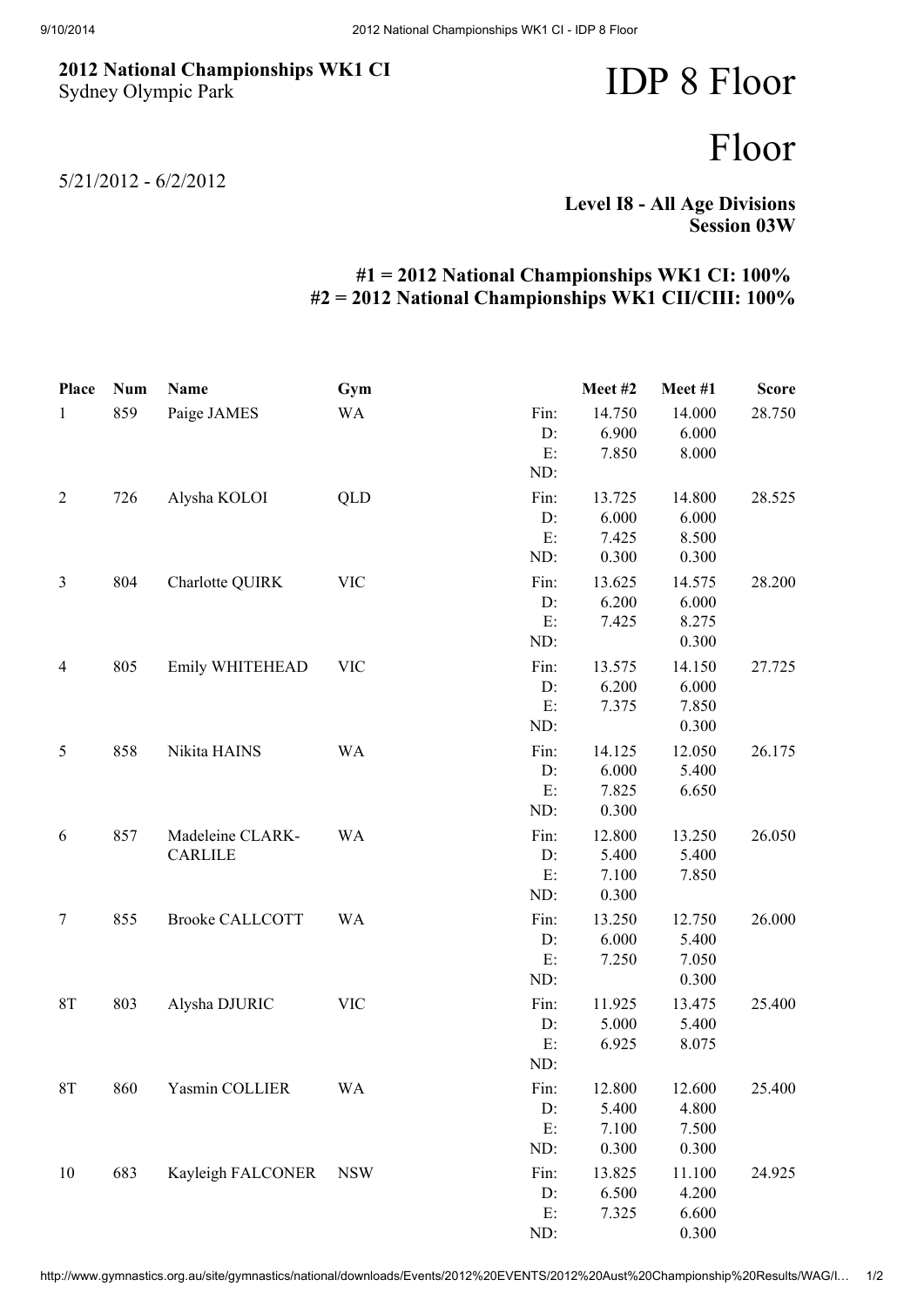## 2012 National Championships WK1 CI Sydney Olympic Park

IDP 8 Floor

## Floor

5/21/2012 - 6/2/2012

Level I8 - All Age Divisions Session 03W

## #1 = 2012 National Championships WK1 CI: 100% #2 = 2012 National Championships WK1 CII/CIII: 100%

| <b>Place</b>   | <b>Num</b> | Name                               | Gym        |                         | Meet #2                           | Meet #1                           | <b>Score</b> |
|----------------|------------|------------------------------------|------------|-------------------------|-----------------------------------|-----------------------------------|--------------|
| $\mathbf{1}$   | 859        | Paige JAMES                        | <b>WA</b>  | Fin:<br>D:<br>E:<br>ND: | 14.750<br>6.900<br>7.850          | 14.000<br>6.000<br>8.000          | 28.750       |
| $\overline{2}$ | 726        | Alysha KOLOI                       | QLD        | Fin:<br>D:<br>E:<br>ND: | 13.725<br>6.000<br>7.425<br>0.300 | 14.800<br>6.000<br>8.500<br>0.300 | 28.525       |
| 3              | 804        | Charlotte QUIRK                    | <b>VIC</b> | Fin:<br>D:<br>E:<br>ND: | 13.625<br>6.200<br>7.425          | 14.575<br>6.000<br>8.275<br>0.300 | 28.200       |
| $\overline{4}$ | 805        | Emily WHITEHEAD                    | <b>VIC</b> | Fin:<br>D:<br>E:<br>ND: | 13.575<br>6.200<br>7.375          | 14.150<br>6.000<br>7.850<br>0.300 | 27.725       |
| 5              | 858        | Nikita HAINS                       | <b>WA</b>  | Fin:<br>D:<br>E:<br>ND: | 14.125<br>6.000<br>7.825<br>0.300 | 12.050<br>5.400<br>6.650          | 26.175       |
| 6              | 857        | Madeleine CLARK-<br><b>CARLILE</b> | <b>WA</b>  | Fin:<br>D:<br>E:<br>ND: | 12.800<br>5.400<br>7.100<br>0.300 | 13.250<br>5.400<br>7.850          | 26.050       |
| $\tau$         | 855        | <b>Brooke CALLCOTT</b>             | <b>WA</b>  | Fin:<br>D:<br>E:<br>ND: | 13.250<br>6.000<br>7.250          | 12.750<br>5.400<br>7.050<br>0.300 | 26.000       |
| $8\mathrm{T}$  | 803        | Alysha DJURIC                      | <b>VIC</b> | Fin:<br>D:<br>E:<br>ND: | 11.925<br>5.000<br>6.925          | 13.475<br>5.400<br>8.075          | 25.400       |
| <b>8T</b>      | 860        | Yasmin COLLIER                     | <b>WA</b>  | Fin:<br>D:<br>E:<br>ND: | 12.800<br>5.400<br>7.100<br>0.300 | 12.600<br>4.800<br>7.500<br>0.300 | 25.400       |
| 10             | 683        | Kayleigh FALCONER                  | <b>NSW</b> | Fin:<br>D:<br>E:<br>ND: | 13.825<br>6.500<br>7.325          | 11.100<br>4.200<br>6.600<br>0.300 | 24.925       |